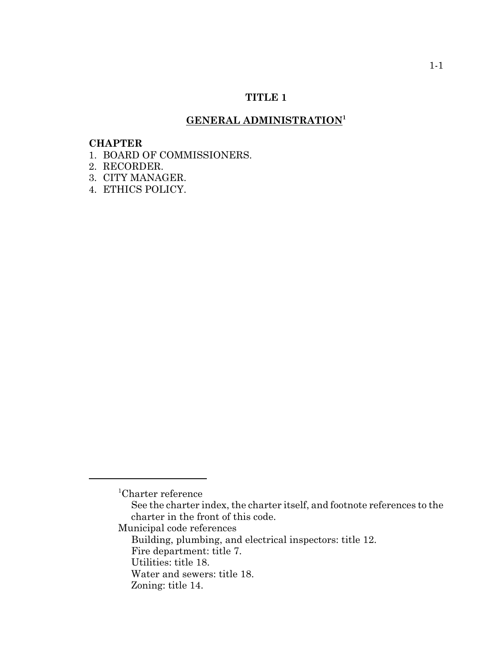# **TITLE 1**

# **GENERAL ADMINISTRATION<sup>1</sup>**

#### **CHAPTER**

- 1. BOARD OF COMMISSIONERS.
- 2. RECORDER.
- 3. CITY MANAGER.
- 4. ETHICS POLICY.

<sup>1</sup> Charter reference

See the charter index, the charter itself, and footnote references to the charter in the front of this code.

Municipal code references

Building, plumbing, and electrical inspectors: title 12.

Fire department: title 7.

Utilities: title 18.

Water and sewers: title 18.

Zoning: title 14.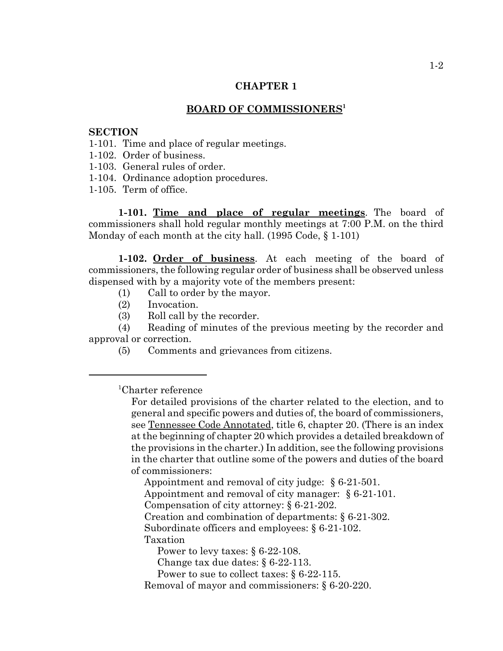### **BOARD OF COMMISSIONERS1**

### **SECTION**

- 1-101. Time and place of regular meetings.
- 1-102. Order of business.
- 1-103. General rules of order.
- 1-104. Ordinance adoption procedures.
- 1-105. Term of office.

**1-101. Time and place of regular meetings**. The board of commissioners shall hold regular monthly meetings at 7:00 P.M. on the third Monday of each month at the city hall. (1995 Code,  $\S$  1-101)

**1-102. Order of business**. At each meeting of the board of commissioners, the following regular order of business shall be observed unless dispensed with by a majority vote of the members present:

- (1) Call to order by the mayor.
- (2) Invocation.
- (3) Roll call by the recorder.

(4) Reading of minutes of the previous meeting by the recorder and approval or correction.

(5) Comments and grievances from citizens.

1 Charter reference

For detailed provisions of the charter related to the election, and to general and specific powers and duties of, the board of commissioners, see Tennessee Code Annotated, title 6, chapter 20. (There is an index at the beginning of chapter 20 which provides a detailed breakdown of the provisions in the charter.) In addition, see the following provisions in the charter that outline some of the powers and duties of the board of commissioners:

Appointment and removal of city judge: § 6-21-501.

Appointment and removal of city manager: § 6-21-101.

Compensation of city attorney: § 6-21-202.

Creation and combination of departments: § 6-21-302.

Subordinate officers and employees:  $\S 6-21-102$ .

Taxation

Power to levy taxes: § 6-22-108.

Change tax due dates: § 6-22-113.

Power to sue to collect taxes: § 6-22-115.

Removal of mayor and commissioners: § 6-20-220.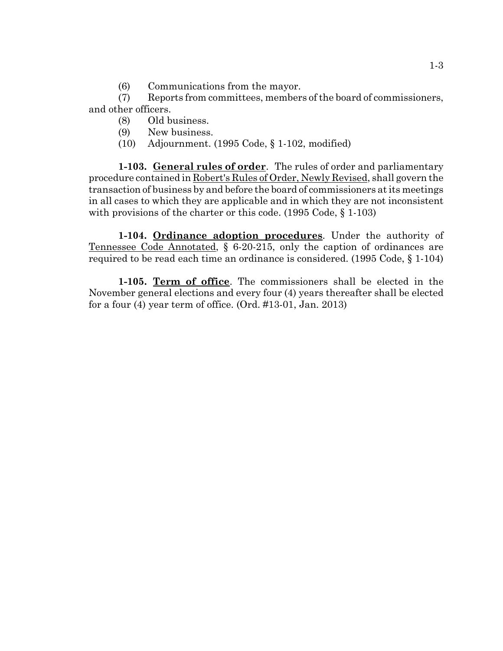(6) Communications from the mayor.

(7) Reports from committees, members of the board of commissioners, and other officers.

- (8) Old business.
- (9) New business.
- (10) Adjournment. (1995 Code, § 1-102, modified)

**1-103. General rules of order**. The rules of order and parliamentary procedure contained in Robert's Rules of Order, Newly Revised, shall govern the transaction of business by and before the board of commissioners at its meetings in all cases to which they are applicable and in which they are not inconsistent with provisions of the charter or this code. (1995 Code, § 1-103)

**1-104. Ordinance adoption procedures**. Under the authority of Tennessee Code Annotated, § 6-20-215, only the caption of ordinances are required to be read each time an ordinance is considered. (1995 Code, § 1-104)

**1-105. Term of office**. The commissioners shall be elected in the November general elections and every four (4) years thereafter shall be elected for a four (4) year term of office. (Ord. #13-01, Jan. 2013)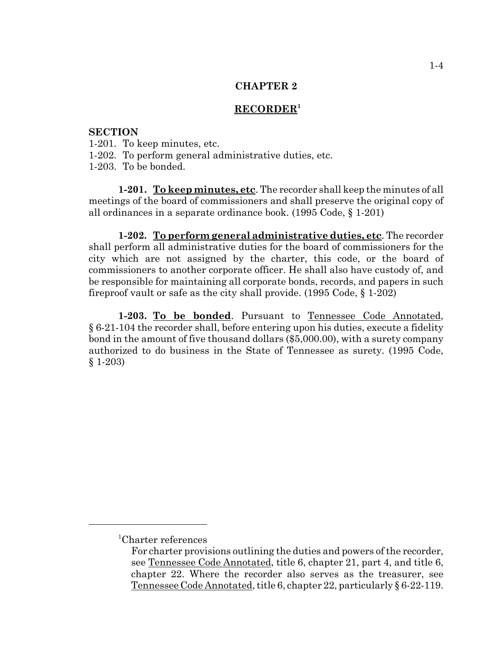### **RECORDER<sup>1</sup>**

## **SECTION**

- 1-201. To keep minutes, etc.
- 1-202. To perform general administrative duties, etc.
- 1-203. To be bonded.

**1-201. To keep minutes, etc**. The recorder shall keep the minutes of all meetings of the board of commissioners and shall preserve the original copy of all ordinances in a separate ordinance book. (1995 Code, § 1-201)

**1-202. To perform general administrative duties, etc**. The recorder shall perform all administrative duties for the board of commissioners for the city which are not assigned by the charter, this code, or the board of commissioners to another corporate officer. He shall also have custody of, and be responsible for maintaining all corporate bonds, records, and papers in such fireproof vault or safe as the city shall provide. (1995 Code, § 1-202)

**1-203. To be bonded**. Pursuant to Tennessee Code Annotated, § 6-21-104 the recorder shall, before entering upon his duties, execute a fidelity bond in the amount of five thousand dollars (\$5,000.00), with a surety company authorized to do business in the State of Tennessee as surety. (1995 Code, § 1-203)

<sup>1</sup> Charter references

For charter provisions outlining the duties and powers of the recorder, see Tennessee Code Annotated, title 6, chapter 21, part 4, and title 6, chapter 22. Where the recorder also serves as the treasurer, see Tennessee Code Annotated, title 6, chapter 22, particularly § 6-22-119.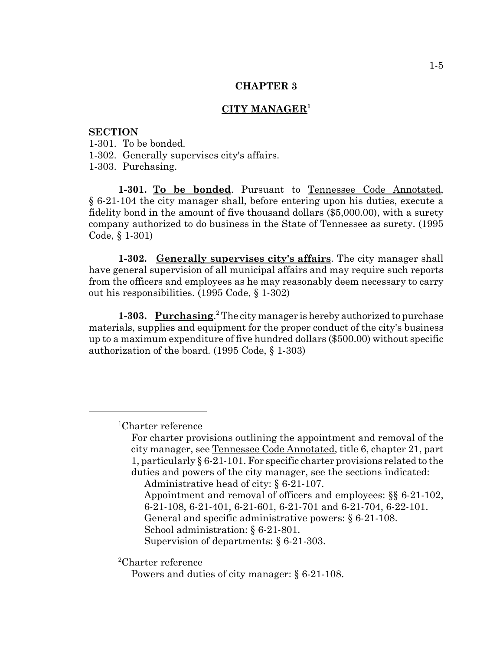### **CITY MANAGER<sup>1</sup>**

## **SECTION**

1-301. To be bonded.

1-302. Generally supervises city's affairs.

1-303. Purchasing.

1-301. To be bonded. Pursuant to Tennessee Code Annotated, § 6-21-104 the city manager shall, before entering upon his duties, execute a fidelity bond in the amount of five thousand dollars (\$5,000.00), with a surety company authorized to do business in the State of Tennessee as surety. (1995 Code, § 1-301)

**1-302. Generally supervises city's affairs**. The city manager shall have general supervision of all municipal affairs and may require such reports from the officers and employees as he may reasonably deem necessary to carry out his responsibilities. (1995 Code, § 1-302)

1-303. Purchasing.<sup>2</sup> The city manager is hereby authorized to purchase materials, supplies and equipment for the proper conduct of the city's business up to a maximum expenditure of five hundred dollars (\$500.00) without specific authorization of the board. (1995 Code, § 1-303)

Administrative head of city: § 6-21-107.

- Appointment and removal of officers and employees: §§ 6-21-102, 6-21-108, 6-21-401, 6-21-601, 6-21-701 and 6-21-704, 6-22-101.
- General and specific administrative powers: § 6-21-108.
- School administration: § 6-21-801.

Supervision of departments: § 6-21-303.

2 Charter reference

<sup>1</sup> Charter reference

For charter provisions outlining the appointment and removal of the city manager, see Tennessee Code Annotated, title 6, chapter 21, part 1, particularly § 6-21-101. For specific charter provisions related to the duties and powers of the city manager, see the sections indicated:

Powers and duties of city manager: § 6-21-108.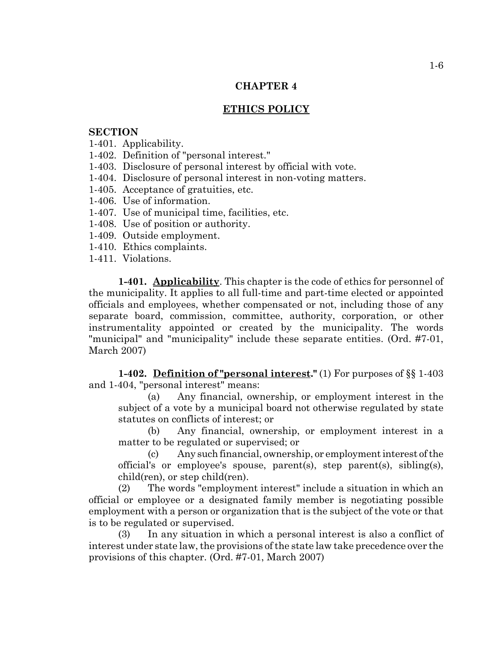## **ETHICS POLICY**

### **SECTION**

- 1-401. Applicability.
- 1-402. Definition of "personal interest."
- 1-403. Disclosure of personal interest by official with vote.
- 1-404. Disclosure of personal interest in non-voting matters.
- 1-405. Acceptance of gratuities, etc.
- 1-406. Use of information.
- 1-407. Use of municipal time, facilities, etc.
- 1-408. Use of position or authority.
- 1-409. Outside employment.
- 1-410. Ethics complaints.
- 1-411. Violations.

**1-401. Applicability**. This chapter is the code of ethics for personnel of the municipality. It applies to all full-time and part-time elected or appointed officials and employees, whether compensated or not, including those of any separate board, commission, committee, authority, corporation, or other instrumentality appointed or created by the municipality. The words "municipal" and "municipality" include these separate entities. (Ord. #7-01, March 2007)

**1-402. Definition of "personal interest."** (1) For purposes of §§ 1-403 and 1-404, "personal interest" means:

(a) Any financial, ownership, or employment interest in the subject of a vote by a municipal board not otherwise regulated by state statutes on conflicts of interest; or

(b) Any financial, ownership, or employment interest in a matter to be regulated or supervised; or

(c) Any such financial, ownership, or employment interest of the official's or employee's spouse, parent(s), step parent(s), sibling(s), child(ren), or step child(ren).

(2) The words "employment interest" include a situation in which an official or employee or a designated family member is negotiating possible employment with a person or organization that is the subject of the vote or that is to be regulated or supervised.

(3) In any situation in which a personal interest is also a conflict of interest under state law, the provisions of the state law take precedence over the provisions of this chapter. (Ord. #7-01, March 2007)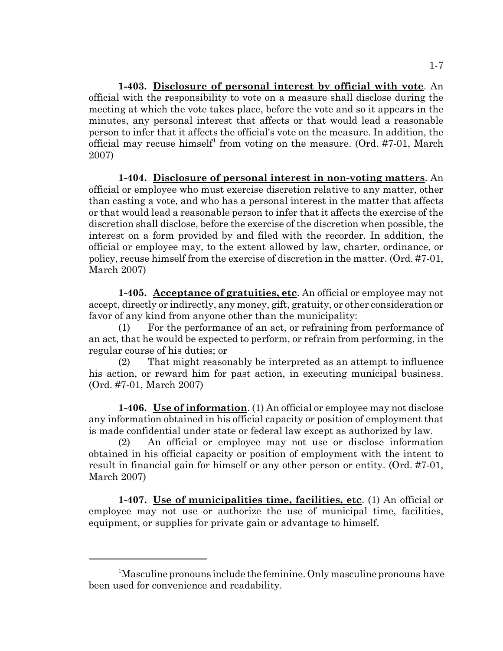**1-403. Disclosure of personal interest by official with vote**. An official with the responsibility to vote on a measure shall disclose during the meeting at which the vote takes place, before the vote and so it appears in the minutes, any personal interest that affects or that would lead a reasonable person to infer that it affects the official's vote on the measure. In addition, the official may recuse himself<sup>1</sup> from voting on the measure. (Ord. #7-01, March 2007)

**1-404. Disclosure of personal interest in non-voting matters**. An official or employee who must exercise discretion relative to any matter, other than casting a vote, and who has a personal interest in the matter that affects or that would lead a reasonable person to infer that it affects the exercise of the discretion shall disclose, before the exercise of the discretion when possible, the interest on a form provided by and filed with the recorder. In addition, the official or employee may, to the extent allowed by law, charter, ordinance, or policy, recuse himself from the exercise of discretion in the matter. (Ord. #7-01, March 2007)

**1-405. Acceptance of gratuities, etc**. An official or employee may not accept, directly or indirectly, any money, gift, gratuity, or other consideration or favor of any kind from anyone other than the municipality:

(1) For the performance of an act, or refraining from performance of an act, that he would be expected to perform, or refrain from performing, in the regular course of his duties; or

(2) That might reasonably be interpreted as an attempt to influence his action, or reward him for past action, in executing municipal business. (Ord. #7-01, March 2007)

**1-406. Use of information**. (1) An official or employee may not disclose any information obtained in his official capacity or position of employment that is made confidential under state or federal law except as authorized by law.

(2) An official or employee may not use or disclose information obtained in his official capacity or position of employment with the intent to result in financial gain for himself or any other person or entity. (Ord. #7-01, March 2007)

**1-407. Use of municipalities time, facilities, etc**. (1) An official or employee may not use or authorize the use of municipal time, facilities, equipment, or supplies for private gain or advantage to himself.

<sup>&</sup>lt;sup>1</sup>Masculine pronouns include the feminine. Only masculine pronouns have been used for convenience and readability.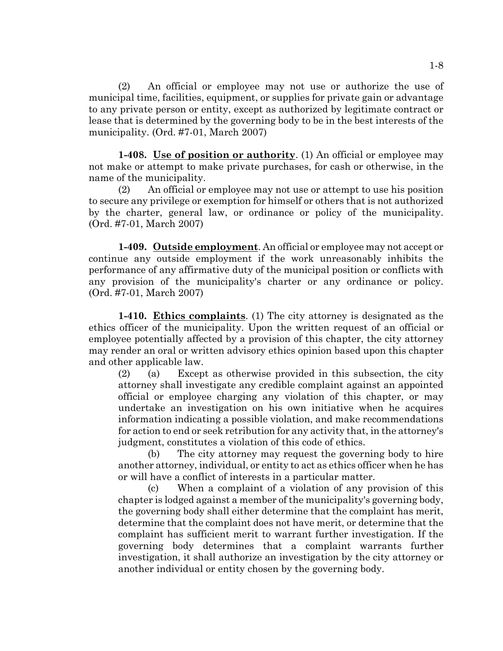(2) An official or employee may not use or authorize the use of municipal time, facilities, equipment, or supplies for private gain or advantage to any private person or entity, except as authorized by legitimate contract or lease that is determined by the governing body to be in the best interests of the municipality. (Ord. #7-01, March 2007)

**1-408. Use of position or authority**. (1) An official or employee may not make or attempt to make private purchases, for cash or otherwise, in the name of the municipality.

(2) An official or employee may not use or attempt to use his position to secure any privilege or exemption for himself or others that is not authorized by the charter, general law, or ordinance or policy of the municipality. (Ord. #7-01, March 2007)

**1-409. Outside employment**. An official or employee may not accept or continue any outside employment if the work unreasonably inhibits the performance of any affirmative duty of the municipal position or conflicts with any provision of the municipality's charter or any ordinance or policy. (Ord. #7-01, March 2007)

**1-410. Ethics complaints**. (1) The city attorney is designated as the ethics officer of the municipality. Upon the written request of an official or employee potentially affected by a provision of this chapter, the city attorney may render an oral or written advisory ethics opinion based upon this chapter and other applicable law.

(2) (a) Except as otherwise provided in this subsection, the city attorney shall investigate any credible complaint against an appointed official or employee charging any violation of this chapter, or may undertake an investigation on his own initiative when he acquires information indicating a possible violation, and make recommendations for action to end or seek retribution for any activity that, in the attorney's judgment, constitutes a violation of this code of ethics.

(b) The city attorney may request the governing body to hire another attorney, individual, or entity to act as ethics officer when he has or will have a conflict of interests in a particular matter.

(c) When a complaint of a violation of any provision of this chapter is lodged against a member of the municipality's governing body, the governing body shall either determine that the complaint has merit, determine that the complaint does not have merit, or determine that the complaint has sufficient merit to warrant further investigation. If the governing body determines that a complaint warrants further investigation, it shall authorize an investigation by the city attorney or another individual or entity chosen by the governing body.